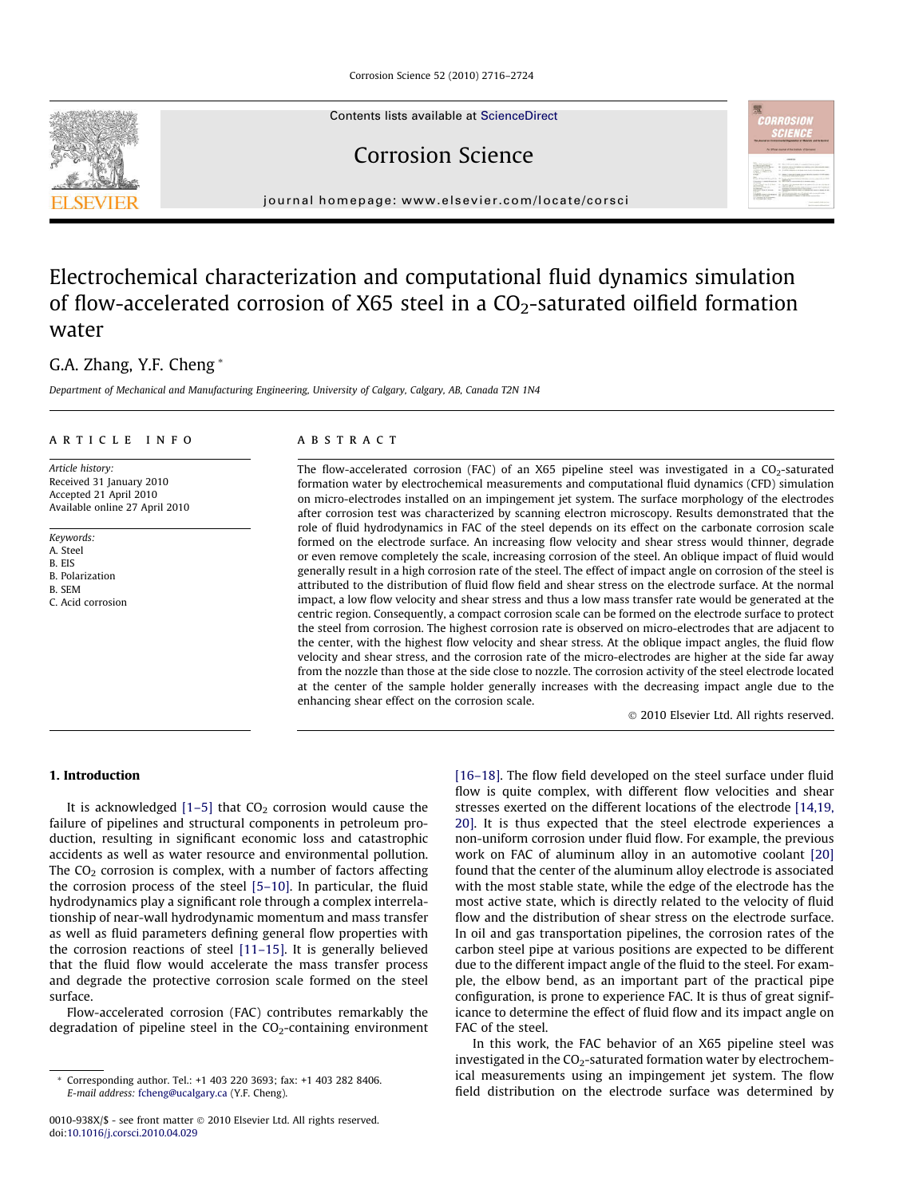Contents lists available at [ScienceDirect](http://www.sciencedirect.com/science/journal/0010938X)

## Corrosion Science

journal homepage: [www.elsevier.com/locate/corsci](http://www.elsevier.com/locate/corsci)

# Electrochemical characterization and computational fluid dynamics simulation of flow-accelerated corrosion of X65 steel in a  $CO<sub>2</sub>$ -saturated oilfield formation water

## G.A. Zhang, Y.F. Cheng \*

Department of Mechanical and Manufacturing Engineering, University of Calgary, Calgary, AB, Canada T2N 1N4

## article info

Article history: Received 31 January 2010 Accepted 21 April 2010 Available online 27 April 2010

Keywords: A. Steel B. EIS B. Polarization B. SEM C. Acid corrosion

## **ABSTRACT**

The flow-accelerated corrosion (FAC) of an  $X65$  pipeline steel was investigated in a  $CO<sub>2</sub>$ -saturated formation water by electrochemical measurements and computational fluid dynamics (CFD) simulation on micro-electrodes installed on an impingement jet system. The surface morphology of the electrodes after corrosion test was characterized by scanning electron microscopy. Results demonstrated that the role of fluid hydrodynamics in FAC of the steel depends on its effect on the carbonate corrosion scale formed on the electrode surface. An increasing flow velocity and shear stress would thinner, degrade or even remove completely the scale, increasing corrosion of the steel. An oblique impact of fluid would generally result in a high corrosion rate of the steel. The effect of impact angle on corrosion of the steel is attributed to the distribution of fluid flow field and shear stress on the electrode surface. At the normal impact, a low flow velocity and shear stress and thus a low mass transfer rate would be generated at the centric region. Consequently, a compact corrosion scale can be formed on the electrode surface to protect the steel from corrosion. The highest corrosion rate is observed on micro-electrodes that are adjacent to the center, with the highest flow velocity and shear stress. At the oblique impact angles, the fluid flow velocity and shear stress, and the corrosion rate of the micro-electrodes are higher at the side far away from the nozzle than those at the side close to nozzle. The corrosion activity of the steel electrode located at the center of the sample holder generally increases with the decreasing impact angle due to the enhancing shear effect on the corrosion scale.

- 2010 Elsevier Ltd. All rights reserved.

## 1. Introduction

It is acknowledged  $[1-5]$  that  $CO<sub>2</sub>$  corrosion would cause the failure of pipelines and structural components in petroleum production, resulting in significant economic loss and catastrophic accidents as well as water resource and environmental pollution. The  $CO<sub>2</sub>$  corrosion is complex, with a number of factors affecting the corrosion process of the steel [\[5–10\].](#page-8-0) In particular, the fluid hydrodynamics play a significant role through a complex interrelationship of near-wall hydrodynamic momentum and mass transfer as well as fluid parameters defining general flow properties with the corrosion reactions of steel [\[11–15\]](#page-8-0). It is generally believed that the fluid flow would accelerate the mass transfer process and degrade the protective corrosion scale formed on the steel surface.

Flow-accelerated corrosion (FAC) contributes remarkably the degradation of pipeline steel in the  $CO<sub>2</sub>$ -containing environment [\[16–18\]](#page-8-0). The flow field developed on the steel surface under fluid flow is quite complex, with different flow velocities and shear stresses exerted on the different locations of the electrode [\[14,19,](#page-8-0) [20\]](#page-8-0). It is thus expected that the steel electrode experiences a non-uniform corrosion under fluid flow. For example, the previous work on FAC of aluminum alloy in an automotive coolant [\[20\]](#page-8-0) found that the center of the aluminum alloy electrode is associated with the most stable state, while the edge of the electrode has the most active state, which is directly related to the velocity of fluid flow and the distribution of shear stress on the electrode surface. In oil and gas transportation pipelines, the corrosion rates of the carbon steel pipe at various positions are expected to be different due to the different impact angle of the fluid to the steel. For example, the elbow bend, as an important part of the practical pipe configuration, is prone to experience FAC. It is thus of great significance to determine the effect of fluid flow and its impact angle on FAC of the steel.

In this work, the FAC behavior of an X65 pipeline steel was investigated in the  $CO<sub>2</sub>$ -saturated formation water by electrochemical measurements using an impingement jet system. The flow field distribution on the electrode surface was determined by





<sup>\*</sup> Corresponding author. Tel.: +1 403 220 3693; fax: +1 403 282 8406. E-mail address: [fcheng@ucalgary.ca](mailto:fcheng@ucalgary.ca) (Y.F. Cheng).

<sup>0010-938</sup>X/\$ - see front matter © 2010 Elsevier Ltd. All rights reserved. doi:[10.1016/j.corsci.2010.04.029](http://dx.doi.org/10.1016/j.corsci.2010.04.029)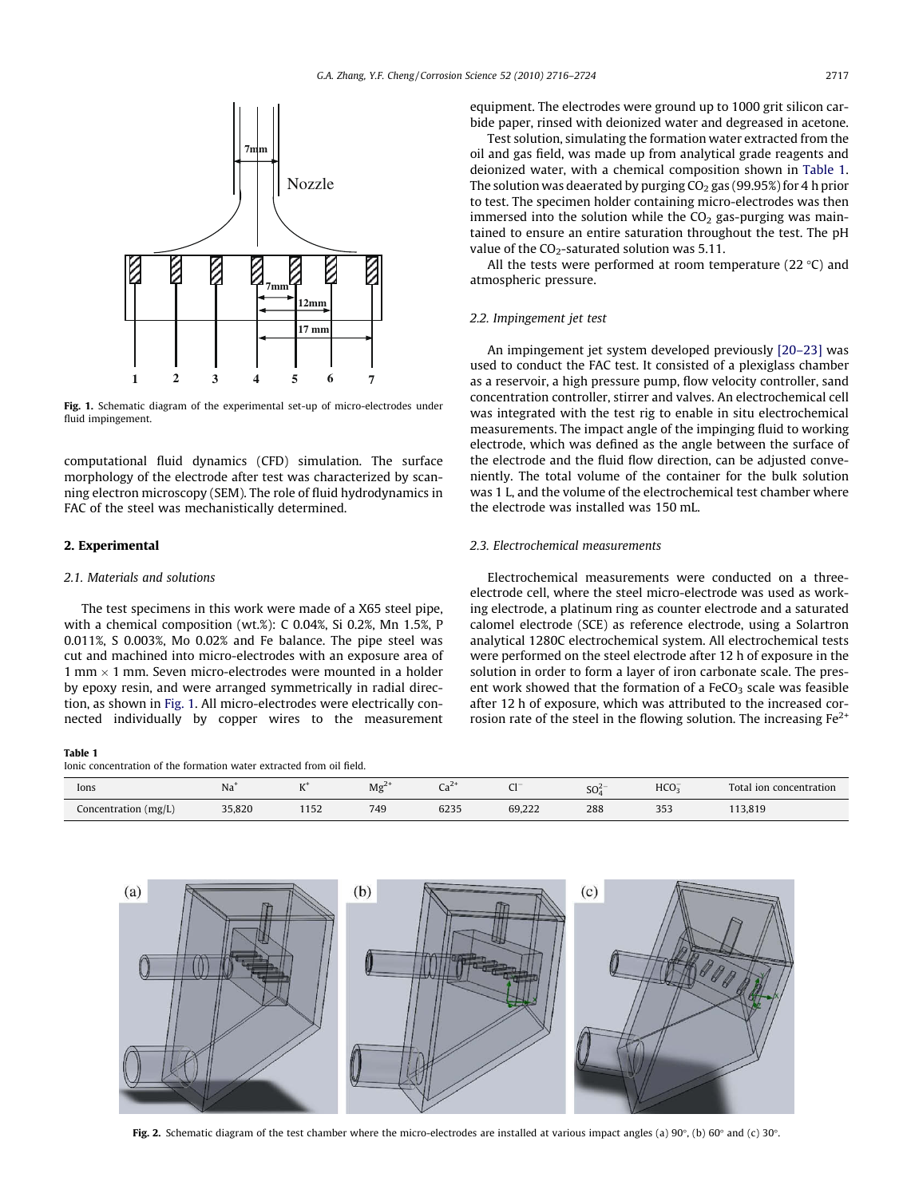<span id="page-1-0"></span>

Fig. 1. Schematic diagram of the experimental set-up of micro-electrodes under fluid impingement.

computational fluid dynamics (CFD) simulation. The surface morphology of the electrode after test was characterized by scanning electron microscopy (SEM). The role of fluid hydrodynamics in FAC of the steel was mechanistically determined.

## 2. Experimental

#### 2.1. Materials and solutions

The test specimens in this work were made of a X65 steel pipe, with a chemical composition (wt.%): C 0.04%, Si 0.2%, Mn 1.5%, P 0.011%, S 0.003%, Mo 0.02% and Fe balance. The pipe steel was cut and machined into micro-electrodes with an exposure area of 1 mm  $\times$  1 mm. Seven micro-electrodes were mounted in a holder by epoxy resin, and were arranged symmetrically in radial direction, as shown in Fig. 1. All micro-electrodes were electrically connected individually by copper wires to the measurement

## Table 1

|  | Ionic concentration of the formation water extracted from oil field. |  |  |  |  |  |  |  |  |
|--|----------------------------------------------------------------------|--|--|--|--|--|--|--|--|
|--|----------------------------------------------------------------------|--|--|--|--|--|--|--|--|

equipment. The electrodes were ground up to 1000 grit silicon carbide paper, rinsed with deionized water and degreased in acetone.

Test solution, simulating the formation water extracted from the oil and gas field, was made up from analytical grade reagents and deionized water, with a chemical composition shown in Table 1. The solution was deaerated by purging  $CO<sub>2</sub>$  gas (99.95%) for 4 h prior to test. The specimen holder containing micro-electrodes was then immersed into the solution while the  $CO<sub>2</sub>$  gas-purging was maintained to ensure an entire saturation throughout the test. The pH value of the  $CO<sub>2</sub>$ -saturated solution was 5.11.

All the tests were performed at room temperature (22 $\degree$ C) and atmospheric pressure.

### 2.2. Impingement jet test

An impingement jet system developed previously [\[20–23\]](#page-8-0) was used to conduct the FAC test. It consisted of a plexiglass chamber as a reservoir, a high pressure pump, flow velocity controller, sand concentration controller, stirrer and valves. An electrochemical cell was integrated with the test rig to enable in situ electrochemical measurements. The impact angle of the impinging fluid to working electrode, which was defined as the angle between the surface of the electrode and the fluid flow direction, can be adjusted conveniently. The total volume of the container for the bulk solution was 1 L, and the volume of the electrochemical test chamber where the electrode was installed was 150 mL.

### 2.3. Electrochemical measurements

Electrochemical measurements were conducted on a threeelectrode cell, where the steel micro-electrode was used as working electrode, a platinum ring as counter electrode and a saturated calomel electrode (SCE) as reference electrode, using a Solartron analytical 1280C electrochemical system. All electrochemical tests were performed on the steel electrode after 12 h of exposure in the solution in order to form a layer of iron carbonate scale. The present work showed that the formation of a  $FeCO<sub>3</sub>$  scale was feasible after 12 h of exposure, which was attributed to the increased corrosion rate of the steel in the flowing solution. The increasing  $Fe<sup>2+</sup>$ 

| lons                 | Na     | $-10$<br>$\overline{\mathbf{z}}$ | $M_{\text{min}}$<br>$m_{\mathcal{S}}$ | cα          | $\sim$ 1 $-$ | SO <sup>3</sup> | HCO <sub>2</sub> | Total ion<br>concentration |
|----------------------|--------|----------------------------------|---------------------------------------|-------------|--------------|-----------------|------------------|----------------------------|
| Concentration (mg/L) | 35,820 | 1152<br>1 J Z                    | 749                                   | COOF<br>ככש | 69,222       | 288             | 353              | 113.819                    |
|                      |        |                                  |                                       |             |              |                 |                  |                            |



Fig. 2. Schematic diagram of the test chamber where the micro-electrodes are installed at various impact angles (a)  $90^\circ$ , (b)  $60^\circ$  and (c)  $30^\circ$ .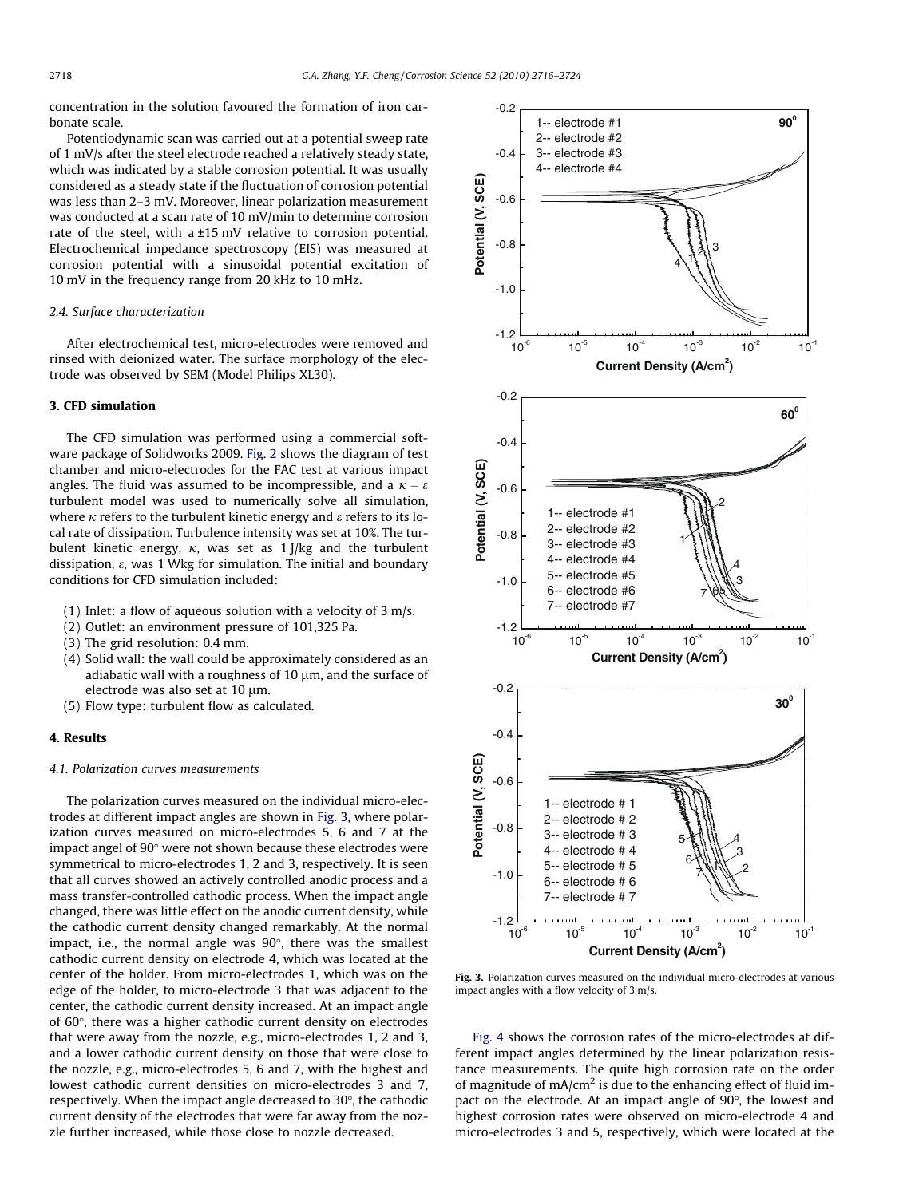concentration in the solution favoured the formation of iron carbonate scale.

Potentiodynamic scan was carried out at a potential sweep rate of 1 mV/s after the steel electrode reached a relatively steady state, which was indicated by a stable corrosion potential. It was usually considered as a steady state if the fluctuation of corrosion potential was less than 2–3 mV. Moreover, linear polarization measurement was conducted at a scan rate of 10 mV/min to determine corrosion rate of the steel, with a ±15 mV relative to corrosion potential. Electrochemical impedance spectroscopy (EIS) was measured at corrosion potential with a sinusoidal potential excitation of 10 mV in the frequency range from 20 kHz to 10 mHz.

## 2.4. Surface characterization

After electrochemical test, micro-electrodes were removed and rinsed with deionized water. The surface morphology of the electrode was observed by SEM (Model Philips XL30).

## 3. CFD simulation

The CFD simulation was performed using a commercial software package of Solidworks 2009. [Fig. 2](#page-1-0) shows the diagram of test chamber and micro-electrodes for the FAC test at various impact angles. The fluid was assumed to be incompressible, and a  $\kappa - \varepsilon$ turbulent model was used to numerically solve all simulation, where  $\kappa$  refers to the turbulent kinetic energy and  $\varepsilon$  refers to its local rate of dissipation. Turbulence intensity was set at 10%. The turbulent kinetic energy,  $\kappa$ , was set as 1 J/kg and the turbulent dissipation,  $\varepsilon$ , was 1 Wkg for simulation. The initial and boundary conditions for CFD simulation included:

- (1) Inlet: a flow of aqueous solution with a velocity of 3 m/s.
- (2) Outlet: an environment pressure of 101,325 Pa.
- (3) The grid resolution: 0.4 mm.
- (4) Solid wall: the wall could be approximately considered as an adiabatic wall with a roughness of  $10 \mu m$ , and the surface of electrode was also set at 10 um.
- (5) Flow type: turbulent flow as calculated.

## 4. Results

## 4.1. Polarization curves measurements

The polarization curves measured on the individual micro-electrodes at different impact angles are shown in Fig. 3, where polarization curves measured on micro-electrodes 5, 6 and 7 at the impact angel of 90° were not shown because these electrodes were symmetrical to micro-electrodes 1, 2 and 3, respectively. It is seen that all curves showed an actively controlled anodic process and a mass transfer-controlled cathodic process. When the impact angle changed, there was little effect on the anodic current density, while the cathodic current density changed remarkably. At the normal impact, i.e., the normal angle was  $90^{\circ}$ , there was the smallest cathodic current density on electrode 4, which was located at the center of the holder. From micro-electrodes 1, which was on the edge of the holder, to micro-electrode 3 that was adjacent to the center, the cathodic current density increased. At an impact angle of  $60^\circ$ , there was a higher cathodic current density on electrodes that were away from the nozzle, e.g., micro-electrodes 1, 2 and 3, and a lower cathodic current density on those that were close to the nozzle, e.g., micro-electrodes 5, 6 and 7, with the highest and lowest cathodic current densities on micro-electrodes 3 and 7, respectively. When the impact angle decreased to 30°, the cathodic current density of the electrodes that were far away from the nozzle further increased, while those close to nozzle decreased.



Fig. 3. Polarization curves measured on the individual micro-electrodes at various impact angles with a flow velocity of 3 m/s.

[Fig. 4](#page-3-0) shows the corrosion rates of the micro-electrodes at different impact angles determined by the linear polarization resistance measurements. The quite high corrosion rate on the order of magnitude of mA/ $cm<sup>2</sup>$  is due to the enhancing effect of fluid impact on the electrode. At an impact angle of  $90^{\circ}$ , the lowest and highest corrosion rates were observed on micro-electrode 4 and micro-electrodes 3 and 5, respectively, which were located at the

<span id="page-2-0"></span>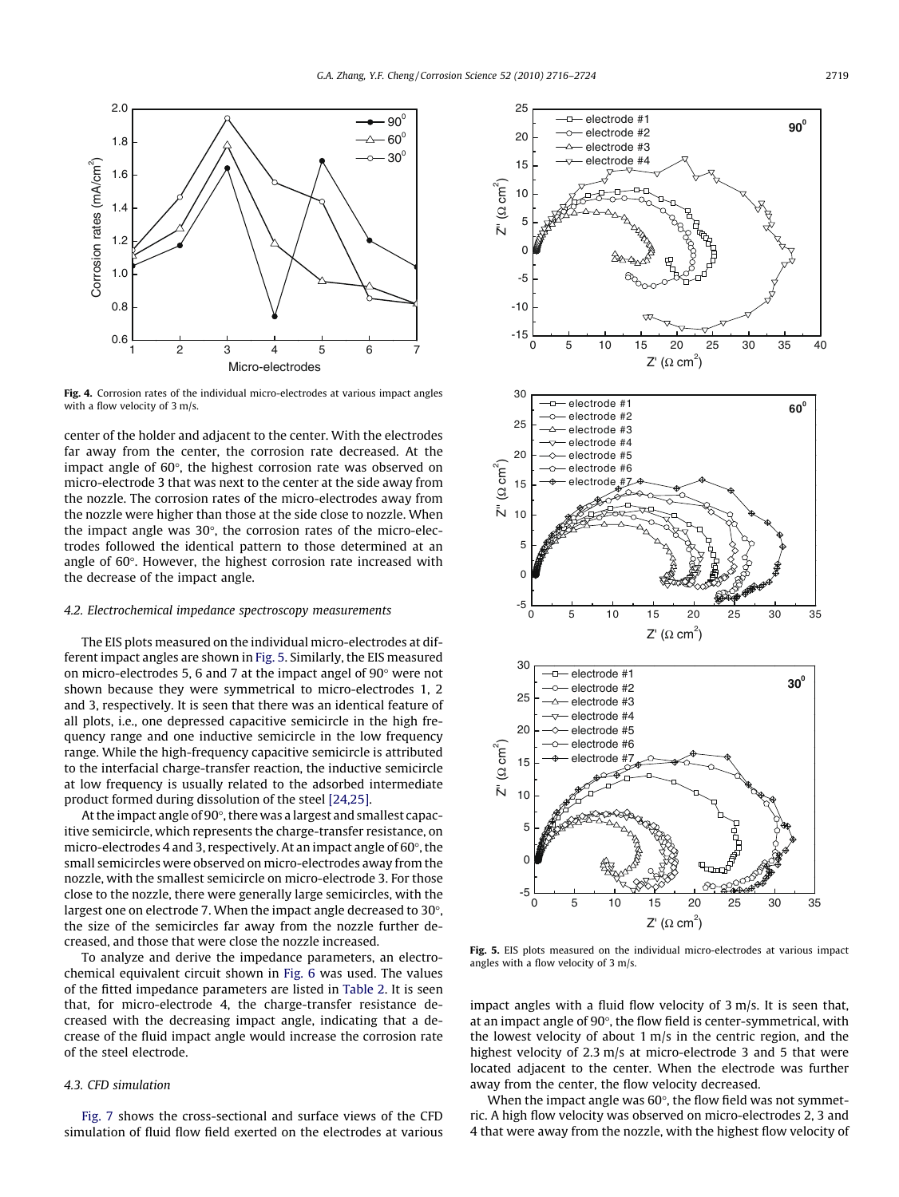<span id="page-3-0"></span>

Fig. 4. Corrosion rates of the individual micro-electrodes at various impact angles with a flow velocity of 3 m/s.

center of the holder and adjacent to the center. With the electrodes far away from the center, the corrosion rate decreased. At the impact angle of  $60^\circ$ , the highest corrosion rate was observed on micro-electrode 3 that was next to the center at the side away from the nozzle. The corrosion rates of the micro-electrodes away from the nozzle were higher than those at the side close to nozzle. When the impact angle was  $30^{\circ}$ , the corrosion rates of the micro-electrodes followed the identical pattern to those determined at an angle of  $60^\circ$ . However, the highest corrosion rate increased with the decrease of the impact angle.

#### 4.2. Electrochemical impedance spectroscopy measurements

The EIS plots measured on the individual micro-electrodes at different impact angles are shown in Fig. 5. Similarly, the EIS measured on micro-electrodes 5, 6 and 7 at the impact angel of  $90^\circ$  were not shown because they were symmetrical to micro-electrodes 1, 2 and 3, respectively. It is seen that there was an identical feature of all plots, i.e., one depressed capacitive semicircle in the high frequency range and one inductive semicircle in the low frequency range. While the high-frequency capacitive semicircle is attributed to the interfacial charge-transfer reaction, the inductive semicircle at low frequency is usually related to the adsorbed intermediate product formed during dissolution of the steel [\[24,25\].](#page-8-0)

At the impact angle of 90°, there was a largest and smallest capacitive semicircle, which represents the charge-transfer resistance, on micro-electrodes 4 and 3, respectively. At an impact angle of  $60^{\circ}$ , the small semicircles were observed on micro-electrodes away from the nozzle, with the smallest semicircle on micro-electrode 3. For those close to the nozzle, there were generally large semicircles, with the largest one on electrode 7. When the impact angle decreased to  $30^{\circ}$ , the size of the semicircles far away from the nozzle further decreased, and those that were close the nozzle increased.

To analyze and derive the impedance parameters, an electrochemical equivalent circuit shown in [Fig. 6](#page-4-0) was used. The values of the fitted impedance parameters are listed in [Table 2](#page-4-0). It is seen that, for micro-electrode 4, the charge-transfer resistance decreased with the decreasing impact angle, indicating that a decrease of the fluid impact angle would increase the corrosion rate of the steel electrode.

## 4.3. CFD simulation

[Fig. 7](#page-5-0) shows the cross-sectional and surface views of the CFD simulation of fluid flow field exerted on the electrodes at various



Fig. 5. EIS plots measured on the individual micro-electrodes at various impact angles with a flow velocity of 3 m/s.

impact angles with a fluid flow velocity of 3 m/s. It is seen that, at an impact angle of  $90^\circ$ , the flow field is center-symmetrical, with the lowest velocity of about 1 m/s in the centric region, and the highest velocity of 2.3 m/s at micro-electrode 3 and 5 that were located adjacent to the center. When the electrode was further away from the center, the flow velocity decreased.

When the impact angle was  $60^\circ$ , the flow field was not symmetric. A high flow velocity was observed on micro-electrodes 2, 3 and 4 that were away from the nozzle, with the highest flow velocity of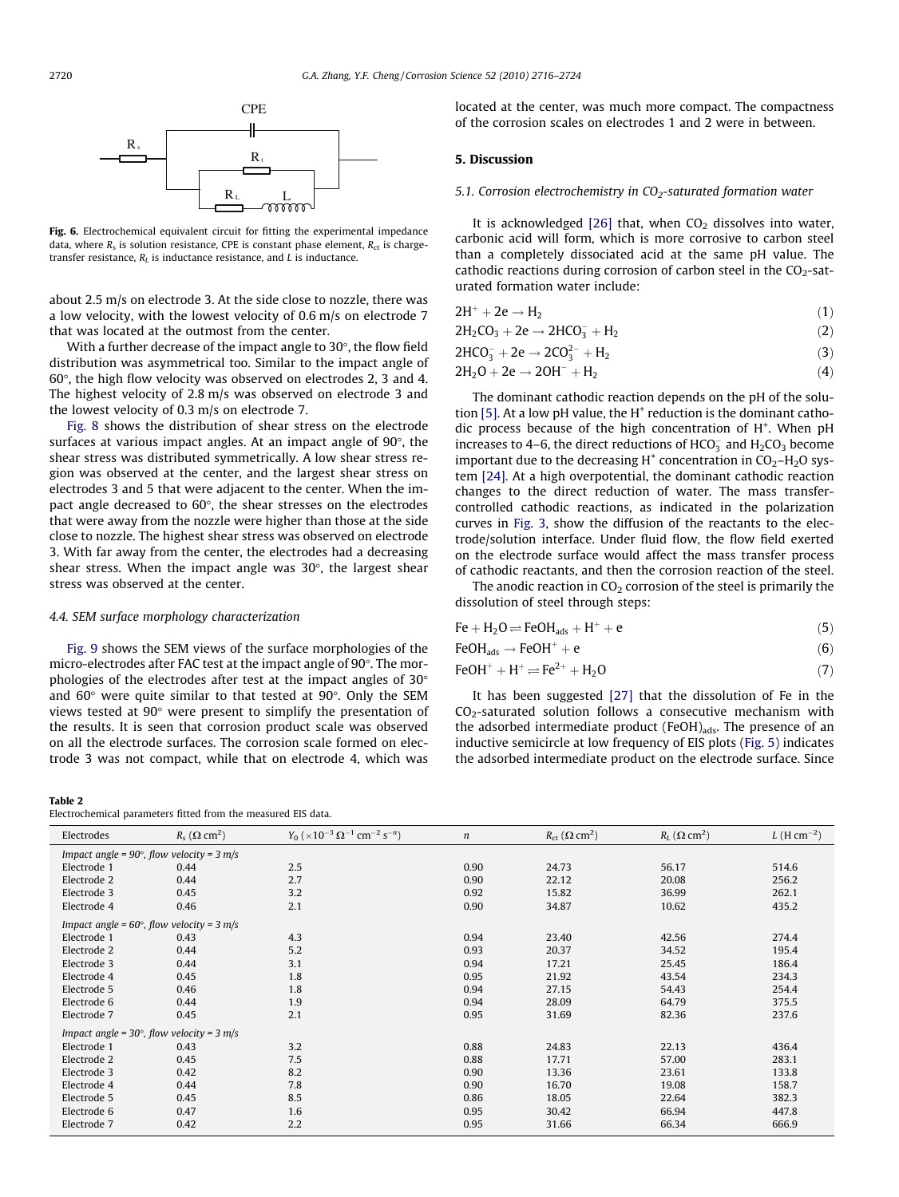<span id="page-4-0"></span>

Fig. 6. Electrochemical equivalent circuit for fitting the experimental impedance data, where  $R_s$  is solution resistance, CPE is constant phase element,  $R_{ct}$  is chargetransfer resistance,  $R_L$  is inductance resistance, and  $L$  is inductance.

about 2.5 m/s on electrode 3. At the side close to nozzle, there was a low velocity, with the lowest velocity of 0.6 m/s on electrode 7 that was located at the outmost from the center.

With a further decrease of the impact angle to  $30^\circ$ , the flow field distribution was asymmetrical too. Similar to the impact angle of  $60^\circ$ , the high flow velocity was observed on electrodes 2, 3 and 4. The highest velocity of 2.8 m/s was observed on electrode 3 and the lowest velocity of 0.3 m/s on electrode 7.

[Fig. 8](#page-6-0) shows the distribution of shear stress on the electrode surfaces at various impact angles. At an impact angle of  $90^\circ$ , the shear stress was distributed symmetrically. A low shear stress region was observed at the center, and the largest shear stress on electrodes 3 and 5 that were adjacent to the center. When the impact angle decreased to  $60^{\circ}$ , the shear stresses on the electrodes that were away from the nozzle were higher than those at the side close to nozzle. The highest shear stress was observed on electrode 3. With far away from the center, the electrodes had a decreasing shear stress. When the impact angle was  $30^{\circ}$ , the largest shear stress was observed at the center.

#### 4.4. SEM surface morphology characterization

[Fig. 9](#page-7-0) shows the SEM views of the surface morphologies of the micro-electrodes after FAC test at the impact angle of 90°. The morphologies of the electrodes after test at the impact angles of 30 and  $60^\circ$  were quite similar to that tested at  $90^\circ$ . Only the SEM views tested at 90° were present to simplify the presentation of the results. It is seen that corrosion product scale was observed on all the electrode surfaces. The corrosion scale formed on electrode 3 was not compact, while that on electrode 4, which was

| а<br>,<br>ш<br>п |  |
|------------------|--|
|                  |  |

| Electrochemical parameters fitted from the measured EIS data. |  |
|---------------------------------------------------------------|--|
|---------------------------------------------------------------|--|

located at the center, was much more compact. The compactness of the corrosion scales on electrodes 1 and 2 were in between.

## 5. Discussion

#### 5.1. Corrosion electrochemistry in  $CO<sub>2</sub>$ -saturated formation water

It is acknowledged [\[26\]](#page-8-0) that, when  $CO<sub>2</sub>$  dissolves into water, carbonic acid will form, which is more corrosive to carbon steel than a completely dissociated acid at the same pH value. The cathodic reactions during corrosion of carbon steel in the  $CO<sub>2</sub>$ -saturated formation water include:

| $2H^+ + 2e \rightarrow H_2$ |  |  |
|-----------------------------|--|--|
|                             |  |  |

| $2H_2CO_3 + 2e \rightarrow 2HCO_3^- + H_2$ |  |  |
|--------------------------------------------|--|--|
|--------------------------------------------|--|--|

$$
2\text{HCO}_3^- + 2\text{e} \to 2\text{CO}_3^{2-} + \text{H}_2 \tag{3}
$$

$$
2H_2O + 2e \rightarrow 2OH^- + H_2 \tag{4}
$$

The dominant cathodic reaction depends on the pH of the solu-tion [\[5\]](#page-8-0). At a low pH value, the  $H^+$  reduction is the dominant cathodic process because of the high concentration of H<sup>+</sup>. When pH increases to 4-6, the direct reductions of  $HCO<sub>3</sub><sup>-</sup>$  and  $H<sub>2</sub>CO<sub>3</sub>$  become important due to the decreasing  $H^+$  concentration in  $CO_2-H_2O$  system [\[24\].](#page-8-0) At a high overpotential, the dominant cathodic reaction changes to the direct reduction of water. The mass transfercontrolled cathodic reactions, as indicated in the polarization curves in [Fig. 3,](#page-2-0) show the diffusion of the reactants to the electrode/solution interface. Under fluid flow, the flow field exerted on the electrode surface would affect the mass transfer process of cathodic reactants, and then the corrosion reaction of the steel.

The anodic reaction in  $CO<sub>2</sub>$  corrosion of the steel is primarily the dissolution of steel through steps:

| $Fe + H_2O \rightleftharpoons FeOH_{ads} + H^+ + e$ | (5) |  |
|-----------------------------------------------------|-----|--|
|-----------------------------------------------------|-----|--|

```
FeOH<sup>+</sup> + e (6)
```
 $FeOH^{+} + H^{+} \rightleftharpoons Fe^{2+} + H_{2}O$  (7)

It has been suggested [\[27\]](#page-8-0) that the dissolution of Fe in the  $CO<sub>2</sub>$ -saturated solution follows a consecutive mechanism with the adsorbed intermediate product (FeOH)<sub>ads</sub>. The presence of an inductive semicircle at low frequency of EIS plots [\(Fig. 5\)](#page-3-0) indicates the adsorbed intermediate product on the electrode surface. Since

|             | electrochemical parameters netea from the measured els data.  |                                                                                    |                  |                                           |                                    |                         |
|-------------|---------------------------------------------------------------|------------------------------------------------------------------------------------|------------------|-------------------------------------------|------------------------------------|-------------------------|
| Electrodes  | $R_s$ ( $\Omega$ cm <sup>2</sup> )                            | $Y_0$ ( $\times$ 10 <sup>-3</sup> $\Omega^{-1}$ cm <sup>-2</sup> s <sup>-n</sup> ) | $\boldsymbol{n}$ | $R_{\rm ct}$ ( $\Omega$ cm <sup>2</sup> ) | $R_L$ ( $\Omega$ cm <sup>2</sup> ) | L (H cm <sup>-2</sup> ) |
|             | Impact angle = $90^\circ$ , flow velocity = 3 m/s             |                                                                                    |                  |                                           |                                    |                         |
| Electrode 1 | 0.44                                                          | 2.5                                                                                | 0.90             | 24.73                                     | 56.17                              | 514.6                   |
| Electrode 2 | 0.44                                                          | 2.7                                                                                | 0.90             | 22.12                                     | 20.08                              | 256.2                   |
| Electrode 3 | 0.45                                                          | 3.2                                                                                | 0.92             | 15.82                                     | 36.99                              | 262.1                   |
| Electrode 4 | 0.46                                                          | 2.1                                                                                | 0.90             | 34.87                                     | 10.62                              | 435.2                   |
|             | Impact angle = $60^\circ$ , flow velocity = 3 m/s             |                                                                                    |                  |                                           |                                    |                         |
| Electrode 1 | 0.43                                                          | 4.3                                                                                | 0.94             | 23.40                                     | 42.56                              | 274.4                   |
| Electrode 2 | 0.44                                                          | 5.2                                                                                | 0.93             | 20.37                                     | 34.52                              | 195.4                   |
| Electrode 3 | 0.44                                                          | 3.1                                                                                | 0.94             | 17.21                                     | 25.45                              | 186.4                   |
| Electrode 4 | 0.45                                                          | 1.8                                                                                | 0.95             | 21.92                                     | 43.54                              | 234.3                   |
| Electrode 5 | 0.46                                                          | 1.8                                                                                | 0.94             | 27.15                                     | 54.43                              | 254.4                   |
| Electrode 6 | 0.44                                                          | 1.9                                                                                | 0.94             | 28.09                                     | 64.79                              | 375.5                   |
| Electrode 7 | 0.45                                                          | 2.1                                                                                | 0.95             | 31.69                                     | 82.36                              | 237.6                   |
|             | Impact angle = $30^{\circ}$ , flow velocity = $3 \text{ m/s}$ |                                                                                    |                  |                                           |                                    |                         |
| Electrode 1 | 0.43                                                          | 3.2                                                                                | 0.88             | 24.83                                     | 22.13                              | 436.4                   |
| Electrode 2 | 0.45                                                          | 7.5                                                                                | 0.88             | 17.71                                     | 57.00                              | 283.1                   |
| Electrode 3 | 0.42                                                          | 8.2                                                                                | 0.90             | 13.36                                     | 23.61                              | 133.8                   |
| Electrode 4 | 0.44                                                          | 7.8                                                                                | 0.90             | 16.70                                     | 19.08                              | 158.7                   |
| Electrode 5 | 0.45                                                          | 8.5                                                                                | 0.86             | 18.05                                     | 22.64                              | 382.3                   |
| Electrode 6 | 0.47                                                          | 1.6                                                                                | 0.95             | 30.42                                     | 66.94                              | 447.8                   |
| Electrode 7 | 0.42                                                          | 2.2                                                                                | 0.95             | 31.66                                     | 66.34                              | 666.9                   |
|             |                                                               |                                                                                    |                  |                                           |                                    |                         |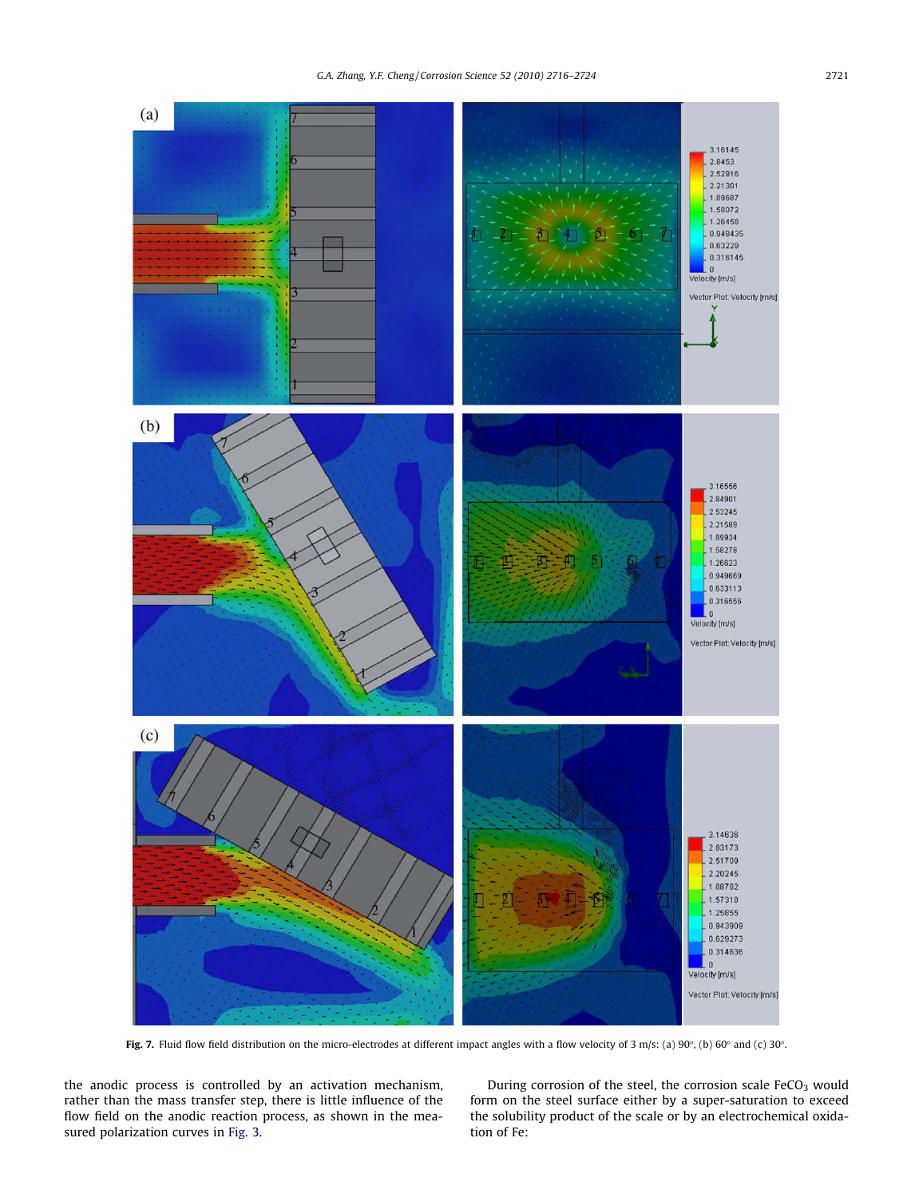<span id="page-5-0"></span>

Fig. 7. Fluid flow field distribution on the micro-electrodes at different impact angles with a flow velocity of 3 m/s: (a) 90°, (b) 60° and (c) 30°.

the anodic process is controlled by an activation mechanism, rather than the mass transfer step, there is little influence of the flow field on the anodic reaction process, as shown in the measured polarization curves in [Fig. 3.](#page-2-0)

During corrosion of the steel, the corrosion scale  $FeCO<sub>3</sub>$  would form on the steel surface either by a super-saturation to exceed the solubility product of the scale or by an electrochemical oxidation of Fe: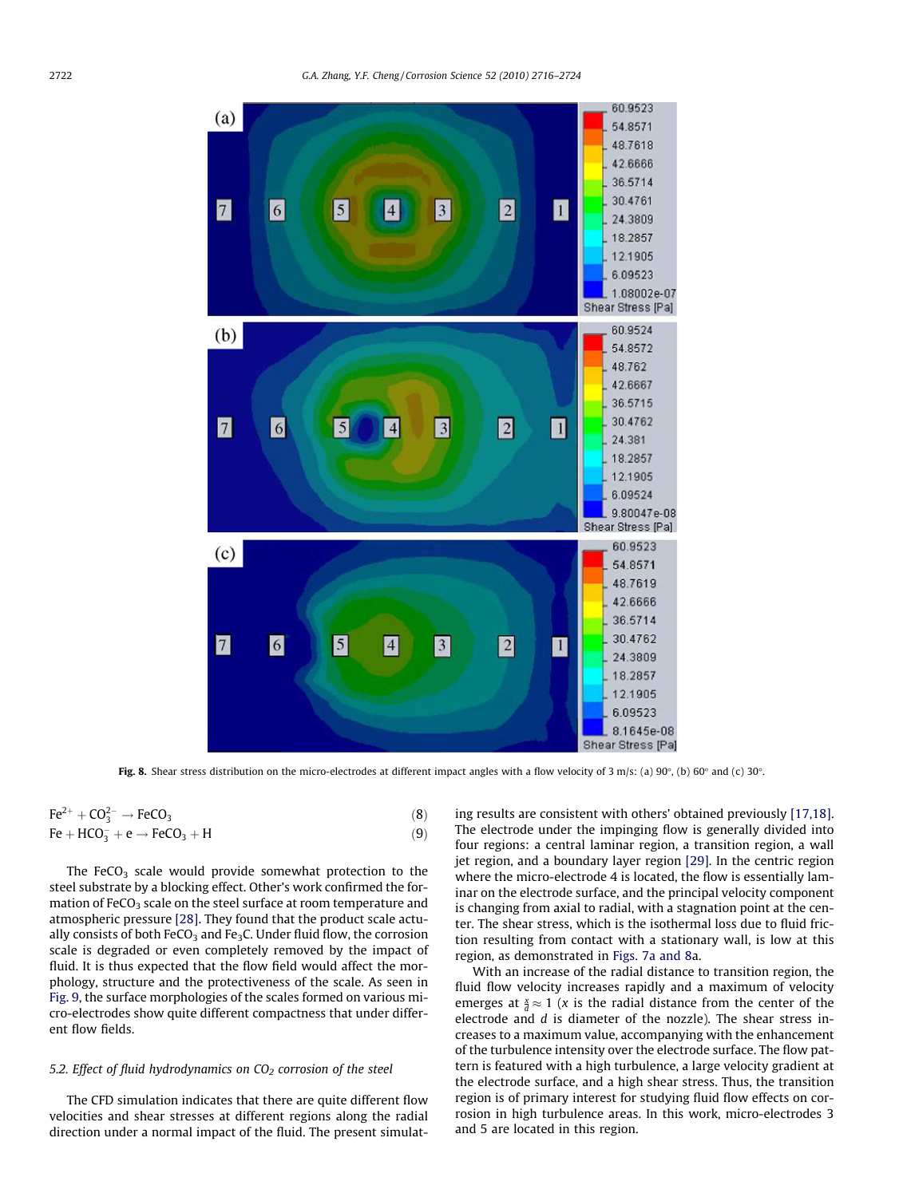<span id="page-6-0"></span>

Fig. 8. Shear stress distribution on the micro-electrodes at different impact angles with a flow velocity of 3 m/s: (a) 90°, (b) 60° and (c) 30°.

| $\text{Fe}^{2+} + \text{CO}_3^{2-} \rightarrow \text{FeCO}_3$ | (8) |
|---------------------------------------------------------------|-----|
| $Fe + HCO3 + e \rightarrow FeCO3 + H$                         | (9) |

The FeCO<sub>3</sub> scale would provide somewhat protection to the steel substrate by a blocking effect. Other's work confirmed the formation of FeCO<sub>3</sub> scale on the steel surface at room temperature and atmospheric pressure [\[28\].](#page-8-0) They found that the product scale actually consists of both FeCO<sub>3</sub> and Fe<sub>3</sub>C. Under fluid flow, the corrosion scale is degraded or even completely removed by the impact of fluid. It is thus expected that the flow field would affect the morphology, structure and the protectiveness of the scale. As seen in [Fig. 9](#page-7-0), the surface morphologies of the scales formed on various micro-electrodes show quite different compactness that under different flow fields.

## 5.2. Effect of fluid hydrodynamics on  $CO<sub>2</sub>$  corrosion of the steel

The CFD simulation indicates that there are quite different flow velocities and shear stresses at different regions along the radial direction under a normal impact of the fluid. The present simulat-

ing results are consistent with others' obtained previously [\[17,18\].](#page-8-0) The electrode under the impinging flow is generally divided into four regions: a central laminar region, a transition region, a wall jet region, and a boundary layer region [\[29\].](#page-8-0) In the centric region where the micro-electrode 4 is located, the flow is essentially laminar on the electrode surface, and the principal velocity component is changing from axial to radial, with a stagnation point at the center. The shear stress, which is the isothermal loss due to fluid friction resulting from contact with a stationary wall, is low at this region, as demonstrated in [Figs. 7a and 8a](#page-5-0).

With an increase of the radial distance to transition region, the fluid flow velocity increases rapidly and a maximum of velocity emerges at  $\frac{x}{d} \approx 1$  (x is the radial distance from the center of the electrode and d is diameter of the nozzle). The shear stress increases to a maximum value, accompanying with the enhancement of the turbulence intensity over the electrode surface. The flow pattern is featured with a high turbulence, a large velocity gradient at the electrode surface, and a high shear stress. Thus, the transition region is of primary interest for studying fluid flow effects on corrosion in high turbulence areas. In this work, micro-electrodes 3 and 5 are located in this region.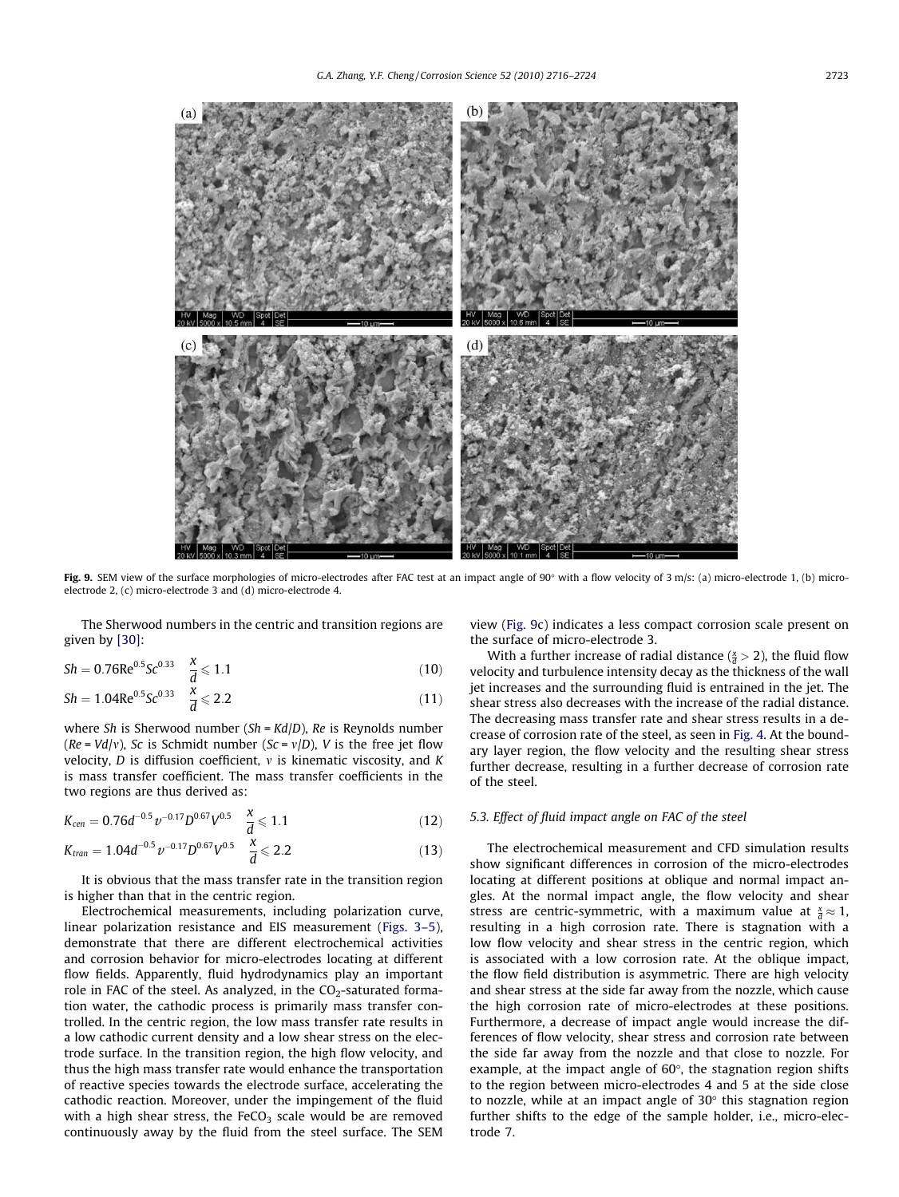<span id="page-7-0"></span> $\overline{d}$ 

Fig. 9. SEM view of the surface morphologies of micro-electrodes after FAC test at an impact angle of 90° with a flow velocity of 3 m/s: (a) micro-electrode 1, (b) microelectrode 2, (c) micro-electrode 3 and (d) micro-electrode 4.

The Sherwood numbers in the centric and transition regions are given by [\[30\]](#page-8-0):

$$
Sh = 0.76 \text{Re}^{0.5} \text{Sc}^{0.33} \quad \frac{x}{d} \leq 1.1 \tag{10}
$$

$$
Sh = 1.04 \text{Re}^{0.5} Sc^{0.33} \quad \frac{x}{d} \leqslant 2.2 \tag{11}
$$

where Sh is Sherwood number (Sh =  $Kd/D$ ), Re is Reynolds number ( $Re = Vd/v$ ), Sc is Schmidt number ( $Sc = v/D$ ), V is the free jet flow velocity,  $D$  is diffusion coefficient,  $\nu$  is kinematic viscosity, and  $K$ is mass transfer coefficient. The mass transfer coefficients in the two regions are thus derived as:

$$
K_{cen} = 0.76d^{-0.5}v^{-0.17}D^{0.67}V^{0.5} \quad \frac{x}{d} \leq 1.1
$$
 (12)

$$
K_{tran} = 1.04d^{-0.5}v^{-0.17}D^{0.67}V^{0.5} \quad \frac{x}{d} \leq 2.2
$$
 (13)

It is obvious that the mass transfer rate in the transition region is higher than that in the centric region.

Electrochemical measurements, including polarization curve, linear polarization resistance and EIS measurement [\(Figs. 3–5\)](#page-2-0), demonstrate that there are different electrochemical activities and corrosion behavior for micro-electrodes locating at different flow fields. Apparently, fluid hydrodynamics play an important role in FAC of the steel. As analyzed, in the  $CO<sub>2</sub>$ -saturated formation water, the cathodic process is primarily mass transfer controlled. In the centric region, the low mass transfer rate results in a low cathodic current density and a low shear stress on the electrode surface. In the transition region, the high flow velocity, and thus the high mass transfer rate would enhance the transportation of reactive species towards the electrode surface, accelerating the cathodic reaction. Moreover, under the impingement of the fluid with a high shear stress, the  $FeCO<sub>3</sub>$  scale would be are removed continuously away by the fluid from the steel surface. The SEM

view (Fig. 9c) indicates a less compact corrosion scale present on the surface of micro-electrode 3.

With a further increase of radial distance ( $\frac{x}{d}$   $>$  2), the fluid flow velocity and turbulence intensity decay as the thickness of the wall jet increases and the surrounding fluid is entrained in the jet. The shear stress also decreases with the increase of the radial distance. The decreasing mass transfer rate and shear stress results in a decrease of corrosion rate of the steel, as seen in [Fig. 4](#page-3-0). At the boundary layer region, the flow velocity and the resulting shear stress further decrease, resulting in a further decrease of corrosion rate of the steel.

#### 5.3. Effect of fluid impact angle on FAC of the steel

The electrochemical measurement and CFD simulation results show significant differences in corrosion of the micro-electrodes locating at different positions at oblique and normal impact angles. At the normal impact angle, the flow velocity and shear stress are centric-symmetric, with a maximum value at  $\frac{x}{d} \approx 1$ , resulting in a high corrosion rate. There is stagnation with a low flow velocity and shear stress in the centric region, which is associated with a low corrosion rate. At the oblique impact, the flow field distribution is asymmetric. There are high velocity and shear stress at the side far away from the nozzle, which cause the high corrosion rate of micro-electrodes at these positions. Furthermore, a decrease of impact angle would increase the differences of flow velocity, shear stress and corrosion rate between the side far away from the nozzle and that close to nozzle. For example, at the impact angle of  $60^\circ$ , the stagnation region shifts to the region between micro-electrodes 4 and 5 at the side close to nozzle, while at an impact angle of  $30^\circ$  this stagnation region further shifts to the edge of the sample holder, i.e., micro-electrode 7.